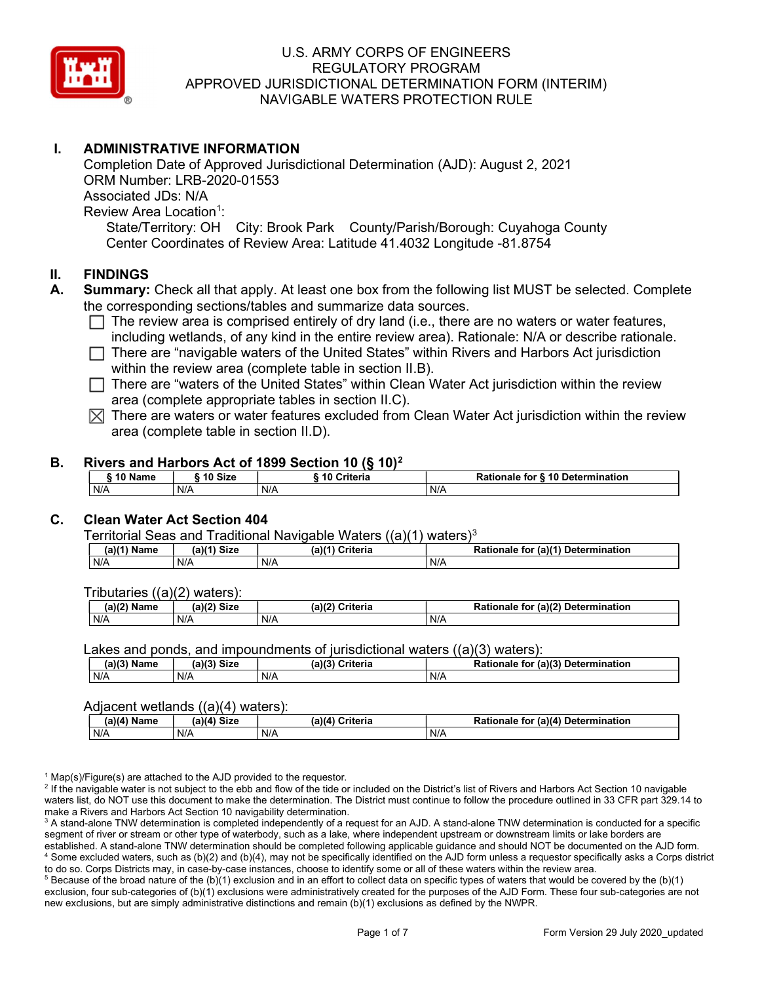

# I. ADMINISTRATIVE INFORMATION

Completion Date of Approved Jurisdictional Determination (AJD): August 2, 2021 ORM Number: LRB-2020-01553 Associated JDs: N/A Review Area Location<sup>1</sup>: State/Territory: OH City: Brook Park County/Parish/Borough: Cuyahoga County Center Coordinates of Review Area: Latitude 41.4032 Longitude -81.8754

#### II. FINDINGS

- A. Summary: Check all that apply. At least one box from the following list MUST be selected. Complete the corresponding sections/tables and summarize data sources.
	- $\Box$  The review area is comprised entirely of dry land (i.e., there are no waters or water features, including wetlands, of any kind in the entire review area). Rationale: N/A or describe rationale.
	- $\Box$  There are "navigable waters of the United States" within Rivers and Harbors Act jurisdiction within the review area (complete table in section II.B).
	- $\Box$  There are "waters of the United States" within Clean Water Act jurisdiction within the review area (complete appropriate tables in section II.C).
	- $\boxtimes$  There are waters or water features excluded from Clean Water Act jurisdiction within the review area (complete table in section II.D).

#### B. Rivers and Harbors Act of 1899 Section 10 (§ 10)<sup>2</sup>

| 10 Name | ີ <sup>1</sup> ባ Size | 10 Criteria | Rationale for § 10 Determination |
|---------|-----------------------|-------------|----------------------------------|
| N/A     | N/A                   | N/A         | N/A                              |

# C. Clean Water Act Section 404

Territorial Seas and Traditional Navigable Waters  $((a)(1)$  waters)<sup>3</sup>

| (2)<br>Name | (a)<br><b>Size</b> | (a)<br>≿riteria | $\pi$ (a) $(4)$<br>Determination<br><b>Ration</b><br>tor<br>naie |
|-------------|--------------------|-----------------|------------------------------------------------------------------|
| N/A         | N/A                | N/F             | $N$ /                                                            |

Tributaries ((a)(2) waters):

| $-1.02$<br>Name | (2)<br>$C^{\dagger}$<br>วเ∠เ | (a)/7<br>'witowio<br>nena | $\sim$ 10 <sup>2</sup><br>Determination<br>-<br>tor<br>(a)<br>naie |
|-----------------|------------------------------|---------------------------|--------------------------------------------------------------------|
| N/A             | N/A                          | N/A                       | N/A                                                                |

Lakes and ponds, and impoundments of jurisdictional waters ((a)(3) waters):

| (a)(3) Name | (a)(3) Size | (a)(?') | ेriteria<br>∽ | <b>Rationale</b><br>tor | $ur (a)$ <sup>(2)</sup><br>Determination |
|-------------|-------------|---------|---------------|-------------------------|------------------------------------------|
| N/A         | N/A         | N/f     |               | N/A                     |                                          |

#### Adjacent wetlands ((a)(4) waters):

|               | .<br>.      |                 |                                    |  |  |  |  |  |  |
|---------------|-------------|-----------------|------------------------------------|--|--|--|--|--|--|
| $(a)(4)$ Name | (a)(4) Size | (a)(4) Criteria | Rationale for (a)(4) Determination |  |  |  |  |  |  |
| N/A           | N/A         | N/A             | N/A                                |  |  |  |  |  |  |

<sup>1</sup> Map(s)/Figure(s) are attached to the AJD provided to the requestor.

<sup>2</sup> If the navigable water is not subject to the ebb and flow of the tide or included on the District's list of Rivers and Harbors Act Section 10 navigable waters list, do NOT use this document to make the determination. The District must continue to follow the procedure outlined in 33 CFR part 329.14 to make a Rivers and Harbors Act Section 10 navigability determination.

 $^3$  A stand-alone TNW determination is completed independently of a request for an AJD. A stand-alone TNW determination is conducted for a specific segment of river or stream or other type of waterbody, such as a lake, where independent upstream or downstream limits or lake borders are established. A stand-alone TNW determination should be completed following applicable guidance and should NOT be documented on the AJD form. 4 Some excluded waters, such as (b)(2) and (b)(4), may not be specifically identified on the AJD form unless a requestor specifically asks a Corps district to do so. Corps Districts may, in case-by-case instances, choose to identify some or all of these waters within the review area.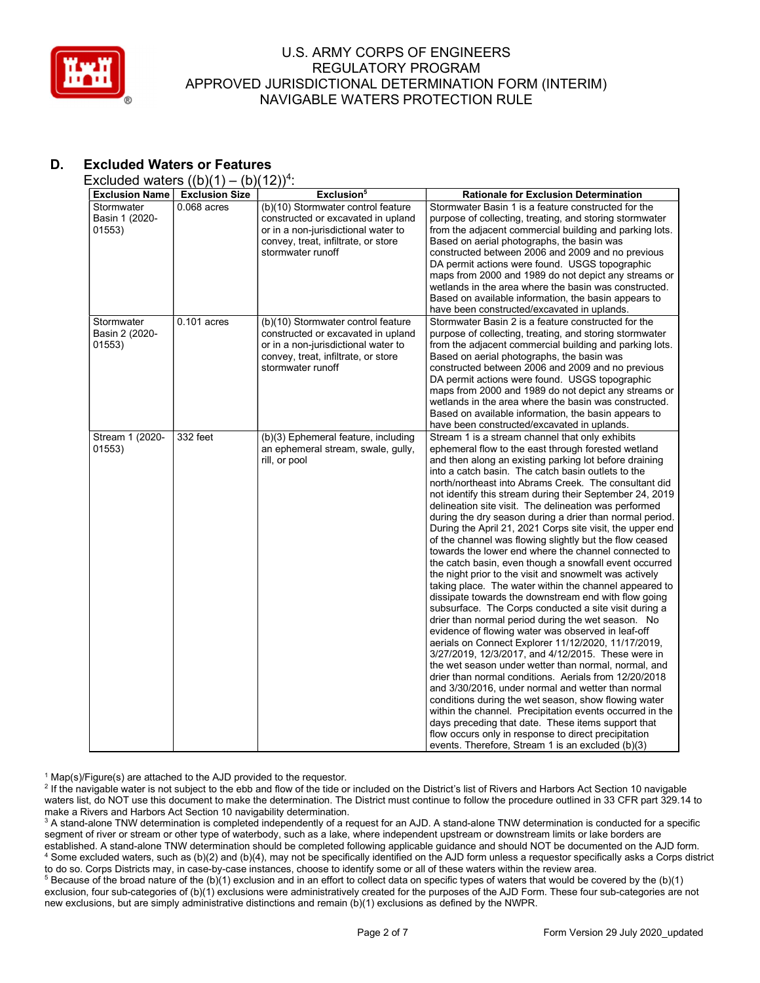

# D. Excluded Waters or Features

Excluded waters  $((b)(1) - (b)(12))^4$ :

| <b>Exclusion Name</b>                  | <b>Exclusion Size</b> | Exclusion <sup>5</sup>                                                                                                                                                      | <b>Rationale for Exclusion Determination</b>                                                                                                                                                                                                                                                                                                                                                                                                                                                                                                                                                                                                                                                                                                                                                                                                                                                                                                                                                                                                                                                                                                                                                                                                                                                                                                                                                                                                                                                                                                                                                                                           |
|----------------------------------------|-----------------------|-----------------------------------------------------------------------------------------------------------------------------------------------------------------------------|----------------------------------------------------------------------------------------------------------------------------------------------------------------------------------------------------------------------------------------------------------------------------------------------------------------------------------------------------------------------------------------------------------------------------------------------------------------------------------------------------------------------------------------------------------------------------------------------------------------------------------------------------------------------------------------------------------------------------------------------------------------------------------------------------------------------------------------------------------------------------------------------------------------------------------------------------------------------------------------------------------------------------------------------------------------------------------------------------------------------------------------------------------------------------------------------------------------------------------------------------------------------------------------------------------------------------------------------------------------------------------------------------------------------------------------------------------------------------------------------------------------------------------------------------------------------------------------------------------------------------------------|
| Stormwater<br>Basin 1 (2020-<br>01553) | $0.068$ acres         | (b)(10) Stormwater control feature<br>constructed or excavated in upland<br>or in a non-jurisdictional water to<br>convey, treat, infiltrate, or store<br>stormwater runoff | Stormwater Basin 1 is a feature constructed for the<br>purpose of collecting, treating, and storing stormwater<br>from the adjacent commercial building and parking lots.<br>Based on aerial photographs, the basin was<br>constructed between 2006 and 2009 and no previous<br>DA permit actions were found. USGS topographic<br>maps from 2000 and 1989 do not depict any streams or<br>wetlands in the area where the basin was constructed.<br>Based on available information, the basin appears to<br>have been constructed/excavated in uplands.                                                                                                                                                                                                                                                                                                                                                                                                                                                                                                                                                                                                                                                                                                                                                                                                                                                                                                                                                                                                                                                                                 |
| Stormwater<br>Basin 2 (2020-<br>01553) | $0.101$ acres         | (b)(10) Stormwater control feature<br>constructed or excavated in upland<br>or in a non-jurisdictional water to<br>convey, treat, infiltrate, or store<br>stormwater runoff | Stormwater Basin 2 is a feature constructed for the<br>purpose of collecting, treating, and storing stormwater<br>from the adjacent commercial building and parking lots.<br>Based on aerial photographs, the basin was<br>constructed between 2006 and 2009 and no previous<br>DA permit actions were found. USGS topographic<br>maps from 2000 and 1989 do not depict any streams or<br>wetlands in the area where the basin was constructed.<br>Based on available information, the basin appears to<br>have been constructed/excavated in uplands.                                                                                                                                                                                                                                                                                                                                                                                                                                                                                                                                                                                                                                                                                                                                                                                                                                                                                                                                                                                                                                                                                 |
| Stream 1 (2020-<br>01553)              | 332 feet              | (b)(3) Ephemeral feature, including<br>an ephemeral stream, swale, gully,<br>rill, or pool                                                                                  | Stream 1 is a stream channel that only exhibits<br>ephemeral flow to the east through forested wetland<br>and then along an existing parking lot before draining<br>into a catch basin. The catch basin outlets to the<br>north/northeast into Abrams Creek. The consultant did<br>not identify this stream during their September 24, 2019<br>delineation site visit. The delineation was performed<br>during the dry season during a drier than normal period.<br>During the April 21, 2021 Corps site visit, the upper end<br>of the channel was flowing slightly but the flow ceased<br>towards the lower end where the channel connected to<br>the catch basin, even though a snowfall event occurred<br>the night prior to the visit and snowmelt was actively<br>taking place. The water within the channel appeared to<br>dissipate towards the downstream end with flow going<br>subsurface. The Corps conducted a site visit during a<br>drier than normal period during the wet season. No<br>evidence of flowing water was observed in leaf-off<br>aerials on Connect Explorer 11/12/2020, 11/17/2019,<br>3/27/2019, 12/3/2017, and 4/12/2015. These were in<br>the wet season under wetter than normal, normal, and<br>drier than normal conditions. Aerials from 12/20/2018<br>and 3/30/2016, under normal and wetter than normal<br>conditions during the wet season, show flowing water<br>within the channel. Precipitation events occurred in the<br>days preceding that date. These items support that<br>flow occurs only in response to direct precipitation<br>events. Therefore, Stream 1 is an excluded (b)(3) |

<sup>1</sup> Map(s)/Figure(s) are attached to the AJD provided to the requestor.

<sup>2</sup> If the navigable water is not subject to the ebb and flow of the tide or included on the District's list of Rivers and Harbors Act Section 10 navigable waters list, do NOT use this document to make the determination. The District must continue to follow the procedure outlined in 33 CFR part 329.14 to make a Rivers and Harbors Act Section 10 navigability determination.

 $^3$  A stand-alone TNW determination is completed independently of a request for an AJD. A stand-alone TNW determination is conducted for a specific segment of river or stream or other type of waterbody, such as a lake, where independent upstream or downstream limits or lake borders are established. A stand-alone TNW determination should be completed following applicable guidance and should NOT be documented on the AJD form. 4 Some excluded waters, such as (b)(2) and (b)(4), may not be specifically identified on the AJD form unless a requestor specifically asks a Corps district to do so. Corps Districts may, in case-by-case instances, choose to identify some or all of these waters within the review area.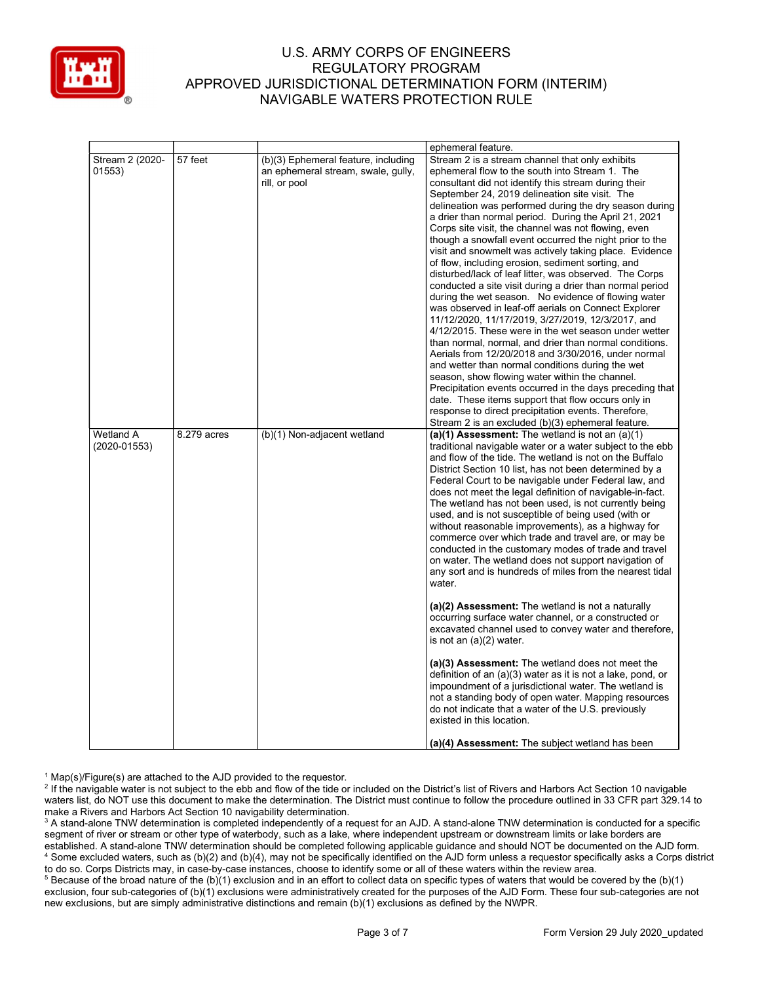

|                  |             |                                     | ephemeral feature.                                                                                        |  |  |  |
|------------------|-------------|-------------------------------------|-----------------------------------------------------------------------------------------------------------|--|--|--|
| Stream 2 (2020-  | 57 feet     | (b)(3) Ephemeral feature, including | Stream 2 is a stream channel that only exhibits                                                           |  |  |  |
| 01553)           |             | an ephemeral stream, swale, gully,  | ephemeral flow to the south into Stream 1. The                                                            |  |  |  |
|                  |             | rill, or pool                       | consultant did not identify this stream during their                                                      |  |  |  |
|                  |             |                                     | September 24, 2019 delineation site visit. The                                                            |  |  |  |
|                  |             |                                     | delineation was performed during the dry season during                                                    |  |  |  |
|                  |             |                                     | a drier than normal period. During the April 21, 2021                                                     |  |  |  |
|                  |             |                                     | Corps site visit, the channel was not flowing, even                                                       |  |  |  |
|                  |             |                                     | though a snowfall event occurred the night prior to the                                                   |  |  |  |
|                  |             |                                     | visit and snowmelt was actively taking place. Evidence                                                    |  |  |  |
|                  |             |                                     | of flow, including erosion, sediment sorting, and                                                         |  |  |  |
|                  |             |                                     | disturbed/lack of leaf litter, was observed. The Corps                                                    |  |  |  |
|                  |             |                                     | conducted a site visit during a drier than normal period                                                  |  |  |  |
|                  |             |                                     | during the wet season. No evidence of flowing water                                                       |  |  |  |
|                  |             |                                     | was observed in leaf-off aerials on Connect Explorer                                                      |  |  |  |
|                  |             |                                     | 11/12/2020, 11/17/2019, 3/27/2019, 12/3/2017, and                                                         |  |  |  |
|                  |             |                                     | 4/12/2015. These were in the wet season under wetter                                                      |  |  |  |
|                  |             |                                     | than normal, normal, and drier than normal conditions.                                                    |  |  |  |
|                  |             |                                     | Aerials from 12/20/2018 and 3/30/2016, under normal                                                       |  |  |  |
|                  |             |                                     | and wetter than normal conditions during the wet                                                          |  |  |  |
|                  |             |                                     | season, show flowing water within the channel.                                                            |  |  |  |
|                  |             |                                     | Precipitation events occurred in the days preceding that                                                  |  |  |  |
|                  |             |                                     | date. These items support that flow occurs only in                                                        |  |  |  |
|                  |             |                                     | response to direct precipitation events. Therefore,                                                       |  |  |  |
|                  |             |                                     | Stream 2 is an excluded (b)(3) ephemeral feature.                                                         |  |  |  |
| Wetland A        | 8.279 acres | (b)(1) Non-adjacent wetland         | (a)(1) Assessment: The wetland is not an $(a)(1)$                                                         |  |  |  |
| $(2020 - 01553)$ |             |                                     | traditional navigable water or a water subject to the ebb                                                 |  |  |  |
|                  |             |                                     | and flow of the tide. The wetland is not on the Buffalo                                                   |  |  |  |
|                  |             |                                     | District Section 10 list, has not been determined by a                                                    |  |  |  |
|                  |             |                                     | Federal Court to be navigable under Federal law, and                                                      |  |  |  |
|                  |             |                                     | does not meet the legal definition of navigable-in-fact.                                                  |  |  |  |
|                  |             |                                     | The wetland has not been used, is not currently being                                                     |  |  |  |
|                  |             |                                     | used, and is not susceptible of being used (with or                                                       |  |  |  |
|                  |             |                                     | without reasonable improvements), as a highway for<br>commerce over which trade and travel are, or may be |  |  |  |
|                  |             |                                     | conducted in the customary modes of trade and travel                                                      |  |  |  |
|                  |             |                                     | on water. The wetland does not support navigation of                                                      |  |  |  |
|                  |             |                                     | any sort and is hundreds of miles from the nearest tidal                                                  |  |  |  |
|                  |             |                                     | water.                                                                                                    |  |  |  |
|                  |             |                                     |                                                                                                           |  |  |  |
|                  |             |                                     | (a)(2) Assessment: The wetland is not a naturally                                                         |  |  |  |
|                  |             |                                     | occurring surface water channel, or a constructed or                                                      |  |  |  |
|                  |             |                                     | excavated channel used to convey water and therefore,                                                     |  |  |  |
|                  |             |                                     | is not an $(a)(2)$ water.                                                                                 |  |  |  |
|                  |             |                                     |                                                                                                           |  |  |  |
|                  |             |                                     | (a)(3) Assessment: The wetland does not meet the                                                          |  |  |  |
|                  |             |                                     | definition of an (a)(3) water as it is not a lake, pond, or                                               |  |  |  |
|                  |             |                                     | impoundment of a jurisdictional water. The wetland is                                                     |  |  |  |
|                  |             |                                     | not a standing body of open water. Mapping resources                                                      |  |  |  |
|                  |             |                                     | do not indicate that a water of the U.S. previously                                                       |  |  |  |
|                  |             |                                     | existed in this location.                                                                                 |  |  |  |
|                  |             |                                     |                                                                                                           |  |  |  |
|                  |             |                                     | (a)(4) Assessment: The subject wetland has been                                                           |  |  |  |

<sup>1</sup> Map(s)/Figure(s) are attached to the AJD provided to the requestor.

<sup>2</sup> If the navigable water is not subject to the ebb and flow of the tide or included on the District's list of Rivers and Harbors Act Section 10 navigable waters list, do NOT use this document to make the determination. The District must continue to follow the procedure outlined in 33 CFR part 329.14 to make a Rivers and Harbors Act Section 10 navigability determination.

 $^3$  A stand-alone TNW determination is completed independently of a request for an AJD. A stand-alone TNW determination is conducted for a specific segment of river or stream or other type of waterbody, such as a lake, where independent upstream or downstream limits or lake borders are established. A stand-alone TNW determination should be completed following applicable guidance and should NOT be documented on the AJD form. 4 Some excluded waters, such as (b)(2) and (b)(4), may not be specifically identified on the AJD form unless a requestor specifically asks a Corps district to do so. Corps Districts may, in case-by-case instances, choose to identify some or all of these waters within the review area.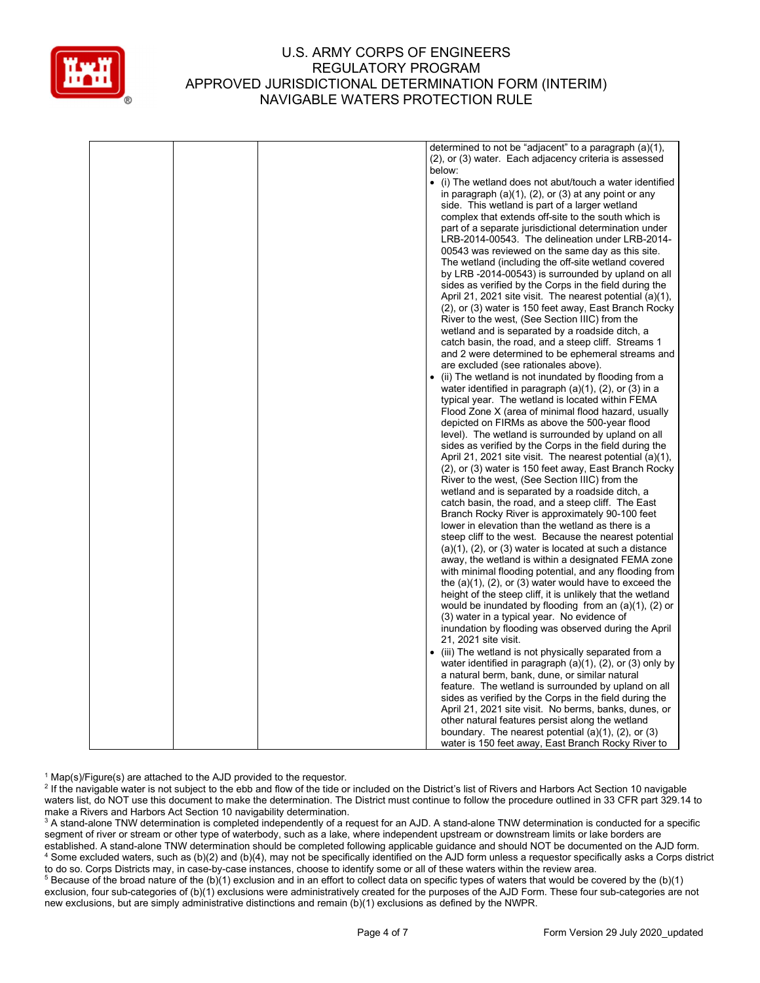

|  | determined to not be "adjacent" to a paragraph (a)(1),            |
|--|-------------------------------------------------------------------|
|  | (2), or (3) water. Each adjacency criteria is assessed            |
|  | below:                                                            |
|  | • (i) The wetland does not abut/touch a water identified          |
|  | in paragraph $(a)(1)$ , $(2)$ , or $(3)$ at any point or any      |
|  | side. This wetland is part of a larger wetland                    |
|  | complex that extends off-site to the south which is               |
|  | part of a separate jurisdictional determination under             |
|  | LRB-2014-00543. The delineation under LRB-2014-                   |
|  | 00543 was reviewed on the same day as this site.                  |
|  |                                                                   |
|  | The wetland (including the off-site wetland covered               |
|  | by LRB -2014-00543) is surrounded by upland on all                |
|  | sides as verified by the Corps in the field during the            |
|  | April 21, 2021 site visit. The nearest potential (a)(1),          |
|  | (2), or (3) water is 150 feet away, East Branch Rocky             |
|  | River to the west, (See Section IIIC) from the                    |
|  | wetland and is separated by a roadside ditch, a                   |
|  | catch basin, the road, and a steep cliff. Streams 1               |
|  | and 2 were determined to be ephemeral streams and                 |
|  | are excluded (see rationales above).                              |
|  | (ii) The wetland is not inundated by flooding from a              |
|  | water identified in paragraph (a)(1), (2), or (3) in a            |
|  | typical year. The wetland is located within FEMA                  |
|  | Flood Zone X (area of minimal flood hazard, usually               |
|  | depicted on FIRMs as above the 500-year flood                     |
|  | level). The wetland is surrounded by upland on all                |
|  | sides as verified by the Corps in the field during the            |
|  | April 21, 2021 site visit. The nearest potential (a)(1),          |
|  | (2), or (3) water is 150 feet away, East Branch Rocky             |
|  | River to the west, (See Section IIIC) from the                    |
|  | wetland and is separated by a roadside ditch, a                   |
|  | catch basin, the road, and a steep cliff. The East                |
|  | Branch Rocky River is approximately 90-100 feet                   |
|  | lower in elevation than the wetland as there is a                 |
|  |                                                                   |
|  | steep cliff to the west. Because the nearest potential            |
|  | $(a)(1)$ , $(2)$ , or $(3)$ water is located at such a distance   |
|  | away, the wetland is within a designated FEMA zone                |
|  | with minimal flooding potential, and any flooding from            |
|  | the $(a)(1)$ , $(2)$ , or $(3)$ water would have to exceed the    |
|  | height of the steep cliff, it is unlikely that the wetland        |
|  | would be inundated by flooding from an $(a)(1)$ , $(2)$ or        |
|  | (3) water in a typical year. No evidence of                       |
|  | inundation by flooding was observed during the April              |
|  | 21, 2021 site visit.                                              |
|  | • (iii) The wetland is not physically separated from a            |
|  | water identified in paragraph $(a)(1)$ , $(2)$ , or $(3)$ only by |
|  | a natural berm, bank, dune, or similar natural                    |
|  | feature. The wetland is surrounded by upland on all               |
|  | sides as verified by the Corps in the field during the            |
|  | April 21, 2021 site visit. No berms, banks, dunes, or             |
|  | other natural features persist along the wetland                  |
|  | boundary. The nearest potential $(a)(1)$ , $(2)$ , or $(3)$       |
|  | water is 150 feet away, East Branch Rocky River to                |

<sup>1</sup> Map(s)/Figure(s) are attached to the AJD provided to the requestor.

<sup>2</sup> If the navigable water is not subject to the ebb and flow of the tide or included on the District's list of Rivers and Harbors Act Section 10 navigable waters list, do NOT use this document to make the determination. The District must continue to follow the procedure outlined in 33 CFR part 329.14 to make a Rivers and Harbors Act Section 10 navigability determination.

 $^3$  A stand-alone TNW determination is completed independently of a request for an AJD. A stand-alone TNW determination is conducted for a specific segment of river or stream or other type of waterbody, such as a lake, where independent upstream or downstream limits or lake borders are established. A stand-alone TNW determination should be completed following applicable guidance and should NOT be documented on the AJD form. 4 Some excluded waters, such as (b)(2) and (b)(4), may not be specifically identified on the AJD form unless a requestor specifically asks a Corps district to do so. Corps Districts may, in case-by-case instances, choose to identify some or all of these waters within the review area.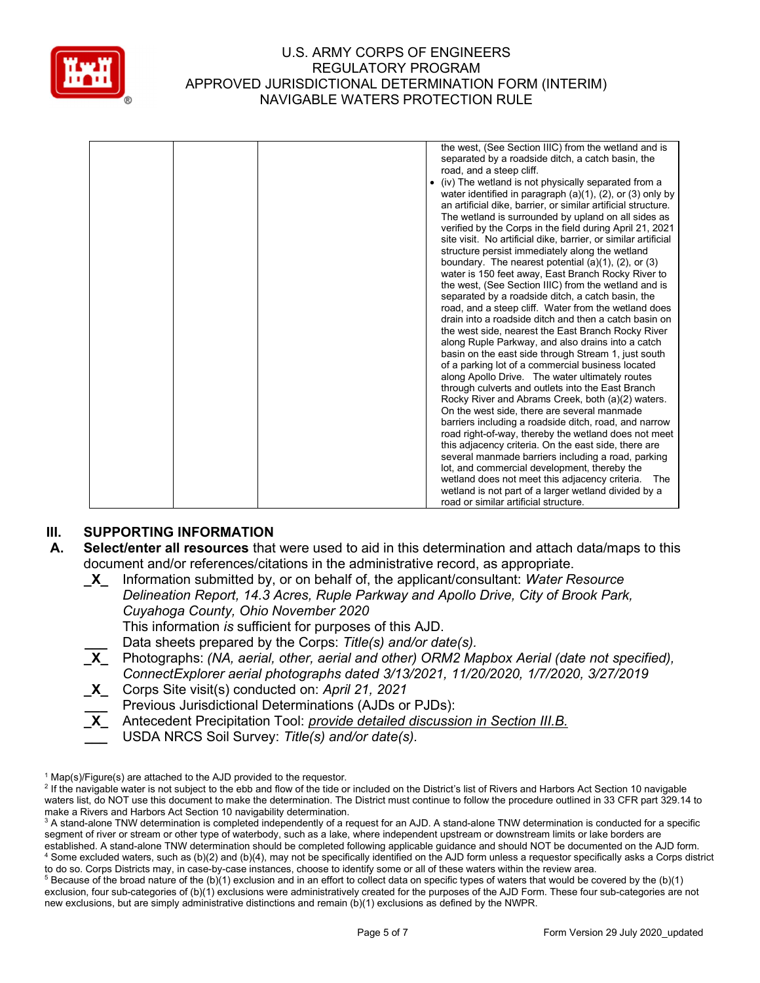

|  | the west, (See Section IIIC) from the wetland and is<br>separated by a roadside ditch, a catch basin, the<br>road, and a steep cliff.<br>(iv) The wetland is not physically separated from a<br>water identified in paragraph $(a)(1)$ , $(2)$ , or $(3)$ only by<br>an artificial dike, barrier, or similar artificial structure.<br>The wetland is surrounded by upland on all sides as<br>verified by the Corps in the field during April 21, 2021<br>site visit. No artificial dike, barrier, or similar artificial<br>structure persist immediately along the wetland<br>boundary. The nearest potential $(a)(1)$ , $(2)$ , or $(3)$<br>water is 150 feet away, East Branch Rocky River to<br>the west, (See Section IIIC) from the wetland and is<br>separated by a roadside ditch, a catch basin, the<br>road, and a steep cliff. Water from the wetland does<br>drain into a roadside ditch and then a catch basin on<br>the west side, nearest the East Branch Rocky River<br>along Ruple Parkway, and also drains into a catch<br>basin on the east side through Stream 1, just south<br>of a parking lot of a commercial business located<br>along Apollo Drive. The water ultimately routes<br>through culverts and outlets into the East Branch<br>Rocky River and Abrams Creek, both (a)(2) waters.<br>On the west side, there are several manmade<br>barriers including a roadside ditch, road, and narrow<br>road right-of-way, thereby the wetland does not meet<br>this adjacency criteria. On the east side, there are<br>several manmade barriers including a road, parking<br>lot, and commercial development, thereby the |
|--|-------------------------------------------------------------------------------------------------------------------------------------------------------------------------------------------------------------------------------------------------------------------------------------------------------------------------------------------------------------------------------------------------------------------------------------------------------------------------------------------------------------------------------------------------------------------------------------------------------------------------------------------------------------------------------------------------------------------------------------------------------------------------------------------------------------------------------------------------------------------------------------------------------------------------------------------------------------------------------------------------------------------------------------------------------------------------------------------------------------------------------------------------------------------------------------------------------------------------------------------------------------------------------------------------------------------------------------------------------------------------------------------------------------------------------------------------------------------------------------------------------------------------------------------------------------------------------------------------------------------------------------------------|
|  | wetland does not meet this adjacency criteria.<br>The<br>wetland is not part of a larger wetland divided by a<br>road or similar artificial structure.                                                                                                                                                                                                                                                                                                                                                                                                                                                                                                                                                                                                                                                                                                                                                                                                                                                                                                                                                                                                                                                                                                                                                                                                                                                                                                                                                                                                                                                                                          |

# III. SUPPORTING INFORMATION

- A. Select/enter all resources that were used to aid in this determination and attach data/maps to this document and/or references/citations in the administrative record, as appropriate.
	- **\_X**\_ Information submitted by, or on behalf of, the applicant/consultant: Water Resource Delineation Report, 14.3 Acres, Ruple Parkway and Apollo Drive, City of Brook Park, Cuyahoga County, Ohio November 2020 This information is sufficient for purposes of this AJD. Data sheets prepared by the Corps: Title(s) and/or date(s).  $\overline{X}$  Photographs: (NA, aerial, other, aerial and other) ORM2 Mapbox Aerial (date not specified), ConnectExplorer aerial photographs dated 3/13/2021, 11/20/2020, 1/7/2020, 3/27/2019
	- X Corps Site visit(s) conducted on: April 21, 2021
	- Previous Jurisdictional Determinations (AJDs or PJDs):
	- X Antecedent Precipitation Tool: provide detailed discussion in Section III.B.
		- USDA NRCS Soil Survey: Title(s) and/or date(s).

<sup>&</sup>lt;sup>1</sup> Map(s)/Figure(s) are attached to the AJD provided to the requestor.

<sup>&</sup>lt;sup>2</sup> If the navigable water is not subject to the ebb and flow of the tide or included on the District's list of Rivers and Harbors Act Section 10 navigable waters list, do NOT use this document to make the determination. The District must continue to follow the procedure outlined in 33 CFR part 329.14 to make a Rivers and Harbors Act Section 10 navigability determination.

 $^3$  A stand-alone TNW determination is completed independently of a request for an AJD. A stand-alone TNW determination is conducted for a specific segment of river or stream or other type of waterbody, such as a lake, where independent upstream or downstream limits or lake borders are established. A stand-alone TNW determination should be completed following applicable guidance and should NOT be documented on the AJD form. 4 Some excluded waters, such as (b)(2) and (b)(4), may not be specifically identified on the AJD form unless a requestor specifically asks a Corps district to do so. Corps Districts may, in case-by-case instances, choose to identify some or all of these waters within the review area.

 $5$  Because of the broad nature of the (b)(1) exclusion and in an effort to collect data on specific types of waters that would be covered by the (b)(1) exclusion, four sub-categories of (b)(1) exclusions were administratively created for the purposes of the AJD Form. These four sub-categories are not new exclusions, but are simply administrative distinctions and remain (b)(1) exclusions as defined by the NWPR.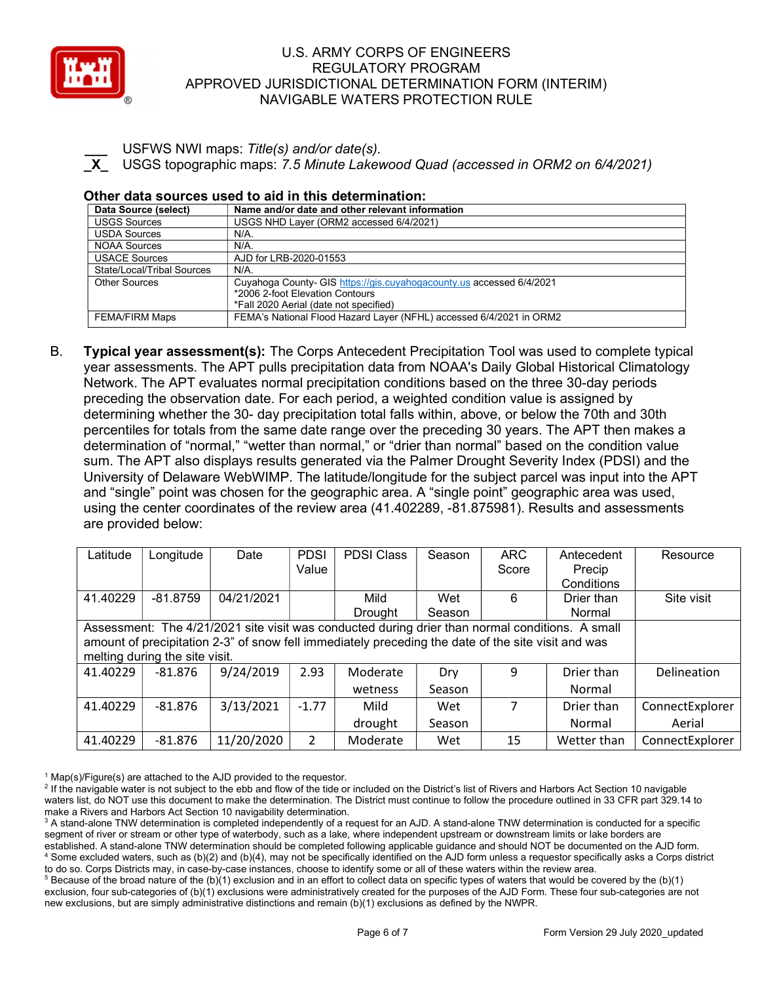

USFWS NWI maps: Title(s) and/or date(s). USGS topographic maps: 7.5 Minute Lakewood Quad (accessed in ORM2 on 6/4/2021)

#### Other data sources used to aid in this determination:

| Data Source (select)       | Name and/or date and other relevant information                      |
|----------------------------|----------------------------------------------------------------------|
| <b>USGS Sources</b>        | USGS NHD Layer (ORM2 accessed 6/4/2021)                              |
| <b>USDA Sources</b>        | N/A.                                                                 |
| <b>NOAA Sources</b>        | N/A.                                                                 |
| <b>USACE Sources</b>       | AJD for LRB-2020-01553                                               |
| State/Local/Tribal Sources | $N/A$ .                                                              |
| <b>Other Sources</b>       | Cuyahoga County- GIS https://gis.cuyahogacounty.us accessed 6/4/2021 |
|                            | *2006 2-foot Elevation Contours                                      |
|                            | *Fall 2020 Aerial (date not specified)                               |
| <b>FEMA/FIRM Maps</b>      | FEMA's National Flood Hazard Layer (NFHL) accessed 6/4/2021 in ORM2  |

B. Typical year assessment(s): The Corps Antecedent Precipitation Tool was used to complete typical year assessments. The APT pulls precipitation data from NOAA's Daily Global Historical Climatology Network. The APT evaluates normal precipitation conditions based on the three 30-day periods preceding the observation date. For each period, a weighted condition value is assigned by determining whether the 30- day precipitation total falls within, above, or below the 70th and 30th percentiles for totals from the same date range over the preceding 30 years. The APT then makes a determination of "normal," "wetter than normal," or "drier than normal" based on the condition value sum. The APT also displays results generated via the Palmer Drought Severity Index (PDSI) and the University of Delaware WebWIMP. The latitude/longitude for the subject parcel was input into the APT and "single" point was chosen for the geographic area. A "single point" geographic area was used, using the center coordinates of the review area (41.402289, -81.875981). Results and assessments are provided below:

| Latitude                                                                                        | Longitude                      | Date       | <b>PDSI</b>    | <b>PDSI Class</b>                                                                                  | Season | <b>ARC</b> | Antecedent  | Resource        |
|-------------------------------------------------------------------------------------------------|--------------------------------|------------|----------------|----------------------------------------------------------------------------------------------------|--------|------------|-------------|-----------------|
|                                                                                                 |                                |            | Value          |                                                                                                    |        | Score      | Precip      |                 |
|                                                                                                 |                                |            |                |                                                                                                    |        |            | Conditions  |                 |
| 41.40229                                                                                        | $-81.8759$                     | 04/21/2021 |                | Mild                                                                                               | Wet    | 6          | Drier than  | Site visit      |
|                                                                                                 |                                |            |                | Drought                                                                                            | Season |            | Normal      |                 |
| Assessment: The 4/21/2021 site visit was conducted during drier than normal conditions. A small |                                |            |                |                                                                                                    |        |            |             |                 |
|                                                                                                 |                                |            |                | amount of precipitation 2-3" of snow fell immediately preceding the date of the site visit and was |        |            |             |                 |
|                                                                                                 | melting during the site visit. |            |                |                                                                                                    |        |            |             |                 |
| 41.40229                                                                                        | $-81.876$                      | 9/24/2019  | 2.93           | Moderate                                                                                           | Dry    | 9          | Drier than  | Delineation     |
|                                                                                                 |                                |            |                | wetness                                                                                            | Season |            | Normal      |                 |
| 41.40229                                                                                        | $-81.876$                      | 3/13/2021  | $-1.77$        | Mild                                                                                               | Wet    |            | Drier than  | ConnectExplorer |
|                                                                                                 |                                |            |                | drought                                                                                            | Season |            | Normal      | Aerial          |
| 41.40229                                                                                        | $-81.876$                      | 11/20/2020 | $\overline{2}$ | Moderate                                                                                           | Wet    | 15         | Wetter than | ConnectExplorer |

<sup>1</sup> Map(s)/Figure(s) are attached to the AJD provided to the requestor.

<sup>2</sup> If the navigable water is not subject to the ebb and flow of the tide or included on the District's list of Rivers and Harbors Act Section 10 navigable waters list, do NOT use this document to make the determination. The District must continue to follow the procedure outlined in 33 CFR part 329.14 to make a Rivers and Harbors Act Section 10 navigability determination.

 $^3$  A stand-alone TNW determination is completed independently of a request for an AJD. A stand-alone TNW determination is conducted for a specific segment of river or stream or other type of waterbody, such as a lake, where independent upstream or downstream limits or lake borders are established. A stand-alone TNW determination should be completed following applicable guidance and should NOT be documented on the AJD form. 4 Some excluded waters, such as (b)(2) and (b)(4), may not be specifically identified on the AJD form unless a requestor specifically asks a Corps district to do so. Corps Districts may, in case-by-case instances, choose to identify some or all of these waters within the review area.